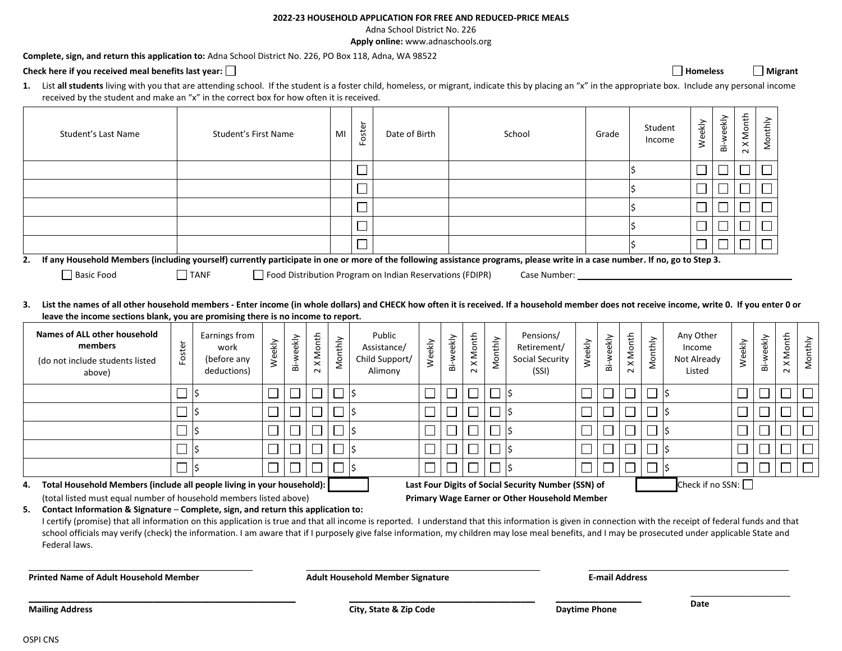## **2022-23 HOUSEHOLD APPLICATION FOR FREE AND REDUCED-PRICE MEALS**

Adna School District No. 226

**Apply online:** www.adnaschools.org

**Complete, sign, and return this application to:** Adna School District No. 226, PO Box 118, Adna, WA 98522

## Check here if you received meal benefits last year: **Nigrant** Nigrant **Migrant** and the state of the state of the state of the state of the state of the state of the state of the state of the state of the state of the sta

1. List all students living with you that are attending school. If the student is a foster child, homeless, or migrant, indicate this by placing an "x" in the appropriate box. Include any personal income received by the student and make an "x" in the correct box for how often it is received.

| Student's Last Name | Student's First Name | MI | Foster | Date of Birth | School | Grade | Student<br>Income | Weekly | eekly<br>₹<br>窗 | Month<br>$\pmb{\times}$<br>$\sim$ | onthly<br>Σ |
|---------------------|----------------------|----|--------|---------------|--------|-------|-------------------|--------|-----------------|-----------------------------------|-------------|
|                     |                      |    |        |               |        |       |                   |        | ┍<br>└          | $\overline{\phantom{0}}$<br>ᅳ     |             |
|                     |                      |    |        |               |        |       |                   |        |                 |                                   |             |
|                     |                      |    |        |               |        |       |                   |        | ٮ               | ᅳ                                 |             |
|                     |                      |    | _      |               |        |       |                   |        | ┍<br>ٮ          | ᅳ                                 |             |
|                     |                      |    |        |               |        |       |                   |        | ᅳ               |                                   |             |

**2. If any Household Members (including yourself) currently participate in one or more of the following assistance programs, please write in a case number. If no, go to Step 3.**

| l Basic Food |  |
|--------------|--|
|--------------|--|

 $\Box$  TANF  $\Box$  Food Distribution Program on Indian Reservations (FDIPR) Case Number:

3. List the names of all other household members - Enter income (in whole dollars) and CHECK how often it is received. If a household member does not receive income, write 0. If you enter 0 or **leave the income sections blank, you are promising there is no income to report.**

|                                                                                | Names of ALL other household<br>members<br>(do not include students listed<br>above) | $\overline{a}$<br>o | Earnings from<br>work<br>(before any<br>deductions) | ekly<br>Š | weekly<br>ä | 놉<br>Š<br>$\boldsymbol{\times}$<br>$\sim$ | nthly<br>$\frac{1}{2}$ | Public<br>Assistance/<br>Child Support/<br>Alimony | Weekly | eekly<br>₹<br>ä | Month<br>$\boldsymbol{\times}$<br>$\sim$ | nthly<br>$\frac{1}{2}$                              | Pensions/<br>Retirement/<br>Social Security<br>(SSI) | Weekly | Bi-weekly | X Month<br>$\sim$ | <b>Aonthly</b>          | Any Other<br>Income<br>Not Already<br>Listed | Weekly | weekly<br>ä | Month<br>$\times$<br>$\sim$ | Monthly |
|--------------------------------------------------------------------------------|--------------------------------------------------------------------------------------|---------------------|-----------------------------------------------------|-----------|-------------|-------------------------------------------|------------------------|----------------------------------------------------|--------|-----------------|------------------------------------------|-----------------------------------------------------|------------------------------------------------------|--------|-----------|-------------------|-------------------------|----------------------------------------------|--------|-------------|-----------------------------|---------|
|                                                                                |                                                                                      |                     |                                                     |           |             |                                           |                        |                                                    | $\Box$ |                 |                                          | $\Box$                                              | -IS                                                  |        |           |                   |                         |                                              |        |             |                             |         |
|                                                                                |                                                                                      |                     |                                                     |           |             |                                           |                        |                                                    | $\Box$ |                 |                                          | $\Box$                                              | -l\$                                                 |        |           |                   |                         |                                              |        |             |                             |         |
|                                                                                |                                                                                      |                     |                                                     |           |             |                                           |                        |                                                    |        |                 |                                          |                                                     | -IS                                                  |        |           |                   |                         |                                              |        |             |                             |         |
|                                                                                |                                                                                      |                     |                                                     |           |             |                                           |                        |                                                    |        |                 |                                          | $\Box$                                              | -IS                                                  |        |           |                   |                         |                                              |        |             |                             |         |
|                                                                                |                                                                                      |                     |                                                     |           |             |                                           |                        |                                                    | $\Box$ |                 |                                          | $\Box$                                              | -l\$                                                 |        |           |                   |                         |                                              |        |             |                             |         |
| Total Household Members (include all people living in your household):  <br>4. |                                                                                      |                     |                                                     |           |             |                                           |                        |                                                    |        |                 |                                          | Last Four Digits of Social Security Number (SSN) of |                                                      |        |           |                   | Check if no SSN: $\Box$ |                                              |        |             |                             |         |

(total listed must equal number of household members listed above) **Primary Wage Earner or Other Household Member** 

**5. Contact Information & Signature** – **Complete, sign, and return this application to:** 

I certify (promise) that all information on this application is true and that all income is reported. I understand that this information is given in connection with the receipt of federal funds and that school officials may verify (check) the information. I am aware that if I purposely give false information, my children may lose meal benefits, and I may be prosecuted under applicable State and Federal laws.

\_\_\_\_\_\_\_\_\_\_\_\_\_\_\_\_\_\_\_\_\_\_\_\_\_\_\_\_\_\_\_\_\_\_\_\_\_\_\_\_\_\_\_\_\_\_\_\_\_

\_\_\_\_\_\_\_\_\_\_\_\_\_\_\_\_\_\_\_\_\_\_\_\_\_\_\_\_\_\_\_\_\_\_\_\_\_\_\_

**Printed Name of Adult Household Member**

\_\_\_\_\_\_\_\_\_\_\_\_\_\_\_\_\_\_\_\_\_\_\_\_\_\_\_\_\_\_\_\_\_\_\_\_\_\_\_\_\_\_\_\_\_\_\_

\_\_\_\_\_\_\_\_\_\_\_\_\_\_\_\_\_\_\_\_\_\_\_\_\_\_\_\_\_\_\_\_\_\_\_\_\_\_\_\_\_\_\_\_\_\_\_\_\_\_\_\_\_\_\_\_

**Adult Household Member Signature**

**E-mail Address**

OSPI CNS

\_\_\_\_\_\_\_\_\_\_\_\_\_\_\_\_\_\_\_\_\_

\_\_\_\_\_\_\_\_\_\_\_\_\_\_\_\_\_\_\_\_\_\_\_\_\_\_\_\_\_\_\_\_\_\_\_\_\_\_\_\_\_\_